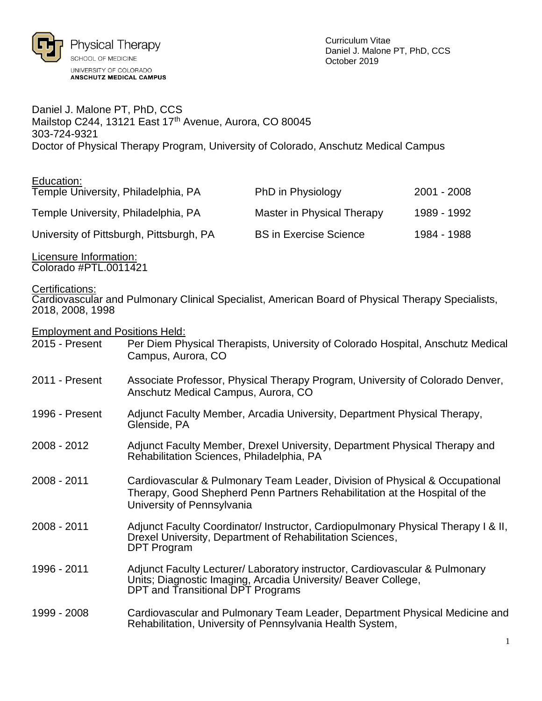

Daniel J. Malone PT, PhD, CCS Mailstop C244, 13121 East 17<sup>th</sup> Avenue, Aurora, CO 80045 303-724-9321 Doctor of Physical Therapy Program, University of Colorado, Anschutz Medical Campus

| Education:<br>Temple University, Philadelphia, PA | PhD in Physiology             | 2001 - 2008 |
|---------------------------------------------------|-------------------------------|-------------|
| Temple University, Philadelphia, PA               | Master in Physical Therapy    | 1989 - 1992 |
| University of Pittsburgh, Pittsburgh, PA          | <b>BS in Exercise Science</b> | 1984 - 1988 |

Licensure Information: Colorado #PTL.0011421

Certifications:

Cardiovascular and Pulmonary Clinical Specialist, American Board of Physical Therapy Specialists, 2018, 2008, 1998

Employment and Positions Held:

| 2015 - Present | Per Diem Physical Therapists, University of Colorado Hospital, Anschutz Medical<br>Campus, Aurora, CO                                                                                   |
|----------------|-----------------------------------------------------------------------------------------------------------------------------------------------------------------------------------------|
| 2011 - Present | Associate Professor, Physical Therapy Program, University of Colorado Denver,<br>Anschutz Medical Campus, Aurora, CO                                                                    |
| 1996 - Present | Adjunct Faculty Member, Arcadia University, Department Physical Therapy,<br>Glenside, PA                                                                                                |
| 2008 - 2012    | Adjunct Faculty Member, Drexel University, Department Physical Therapy and<br>Rehabilitation Sciences, Philadelphia, PA                                                                 |
| 2008 - 2011    | Cardiovascular & Pulmonary Team Leader, Division of Physical & Occupational<br>Therapy, Good Shepherd Penn Partners Rehabilitation at the Hospital of the<br>University of Pennsylvania |
| 2008 - 2011    | Adjunct Faculty Coordinator/Instructor, Cardiopulmonary Physical Therapy I & II,<br>Drexel University, Department of Rehabilitation Sciences,<br>DPT Program                            |
| 1996 - 2011    | Adjunct Faculty Lecturer/ Laboratory instructor, Cardiovascular & Pulmonary<br>Units; Diagnostic Imaging, Arcadia University/ Beaver College,<br>DPT and Transitional DPT Programs      |
| 1999 - 2008    | Cardiovascular and Pulmonary Team Leader, Department Physical Medicine and<br>Rehabilitation, University of Pennsylvania Health System,                                                 |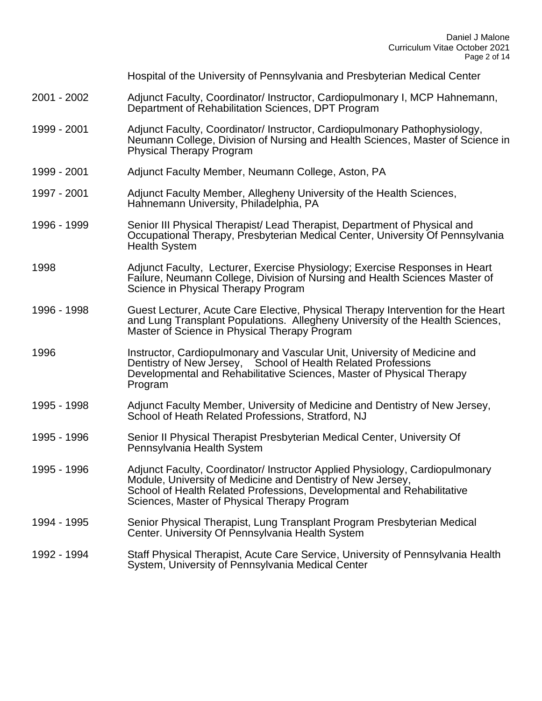|             | Hospital of the University of Pennsylvania and Presbyterian Medical Center                                                                                                                                                                                            |
|-------------|-----------------------------------------------------------------------------------------------------------------------------------------------------------------------------------------------------------------------------------------------------------------------|
| 2001 - 2002 | Adjunct Faculty, Coordinator/Instructor, Cardiopulmonary I, MCP Hahnemann,<br>Department of Rehabilitation Sciences, DPT Program                                                                                                                                      |
| 1999 - 2001 | Adjunct Faculty, Coordinator/Instructor, Cardiopulmonary Pathophysiology,<br>Neumann College, Division of Nursing and Health Sciences, Master of Science in<br><b>Physical Therapy Program</b>                                                                        |
| 1999 - 2001 | Adjunct Faculty Member, Neumann College, Aston, PA                                                                                                                                                                                                                    |
| 1997 - 2001 | Adjunct Faculty Member, Allegheny University of the Health Sciences,<br>Hahnemann University, Philadelphia, PA                                                                                                                                                        |
| 1996 - 1999 | Senior III Physical Therapist/ Lead Therapist, Department of Physical and<br>Occupational Therapy, Presbyterian Medical Center, University Of Pennsylvania<br><b>Health System</b>                                                                                    |
| 1998        | Adjunct Faculty, Lecturer, Exercise Physiology; Exercise Responses in Heart<br>Failure, Neumann College, Division of Nursing and Health Sciences Master of<br>Science in Physical Therapy Program                                                                     |
| 1996 - 1998 | Guest Lecturer, Acute Care Elective, Physical Therapy Intervention for the Heart<br>and Lung Transplant Populations. Allegheny University of the Health Sciences,<br>Master of Science in Physical Therapy Program                                                    |
| 1996        | Instructor, Cardiopulmonary and Vascular Unit, University of Medicine and<br>Dentistry of New Jersey, School of Health Related Professions<br>Developmental and Rehabilitative Sciences, Master of Physical Therapy<br>Program                                        |
| 1995 - 1998 | Adjunct Faculty Member, University of Medicine and Dentistry of New Jersey,<br>School of Heath Related Professions, Stratford, NJ                                                                                                                                     |
| 1995 - 1996 | Senior II Physical Therapist Presbyterian Medical Center, University Of<br>Pennsylvania Health System                                                                                                                                                                 |
| 1995 - 1996 | Adjunct Faculty, Coordinator/ Instructor Applied Physiology, Cardiopulmonary<br>Module, University of Medicine and Dentistry of New Jersey,<br>School of Health Related Professions, Developmental and Rehabilitative<br>Sciences, Master of Physical Therapy Program |
| 1994 - 1995 | Senior Physical Therapist, Lung Transplant Program Presbyterian Medical<br>Center. University Of Pennsylvania Health System                                                                                                                                           |
| 1992 - 1994 | Staff Physical Therapist, Acute Care Service, University of Pennsylvania Health<br>System, University of Pennsylvania Medical Center                                                                                                                                  |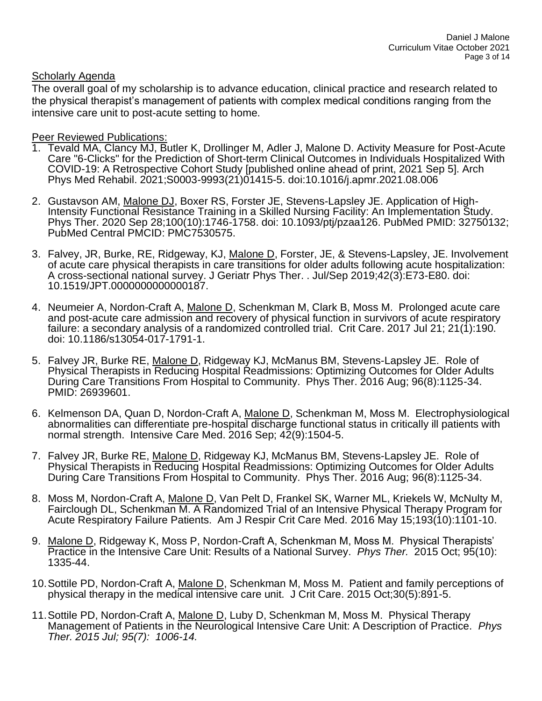# Scholarly Agenda

The overall goal of my scholarship is to advance education, clinical practice and research related to the physical therapist's management of patients with complex medical conditions ranging from the intensive care unit to post-acute setting to home.

### Peer Reviewed Publications:

- 1. Tevald MA, Clancy MJ, Butler K, Drollinger M, Adler J, Malone D. Activity Measure for Post-Acute Care "6-Clicks" for the Prediction of Short-term Clinical Outcomes in Individuals Hospitalized With COVID-19: A Retrospective Cohort Study [published online ahead of print, 2021 Sep 5]. Arch Phys Med Rehabil. 2021;S0003-9993(21)01415-5. doi:10.1016/j.apmr.2021.08.006
- 2. Gustavson AM, Malone DJ, Boxer RS, Forster JE, Stevens-Lapsley JE. Application of High-Intensity Functional Resistance Training in a Skilled Nursing Facility: An Implementation Study. Phys Ther. 2020 Sep 28;100(10):1746-1758. doi: 10.1093/ptj/pzaa126. PubMed PMID: 32750132; PubMed Central PMCID: PMC7530575.
- 3. Falvey, JR, Burke, RE, Ridgeway, KJ, Malone D, Forster, JE, & Stevens-Lapsley, JE. Involvement of acute care physical therapists in care transitions for older adults following acute hospitalization: A cross-sectional national survey. J Geriatr Phys Ther. . Jul/Sep 2019;42(3):E73-E80. doi: 10.1519/JPT.0000000000000187.
- 4. Neumeier A, Nordon-Craft A, Malone D, Schenkman M, Clark B, Moss M. Prolonged acute care and post-acute care admission and recovery of physical function in survivors of acute respiratory failure: a secondary analysis of a randomized controlled trial. Crit Care. 2017 Jul 21; 21(1):190. doi: 10.1186/s13054-017-1791-1.
- 5. Falvey JR, Burke RE, Malone D, Ridgeway KJ, McManus BM, Stevens-Lapsley JE. Role of Physical Therapists in Reducing Hospital Readmissions: Optimizing Outcomes for Older Adults During Care Transitions From Hospital to Community. Phys Ther. 2016 Aug; 96(8):1125-34. PMID: 26939601.
- 6. Kelmenson DA, Quan D, Nordon-Craft A, Malone D, Schenkman M, Moss M. Electrophysiological abnormalities can differentiate pre-hospital discharge functional status in critically ill patients with normal strength. Intensive Care Med. 2016 Sep; 42(9):1504-5.
- 7. Falvey JR, Burke RE, Malone D, Ridgeway KJ, McManus BM, Stevens-Lapsley JE. Role of Physical Therapists in Reducing Hospital Readmissions: Optimizing Outcomes for Older Adults During Care Transitions From Hospital to Community. Phys Ther. 2016 Aug; 96(8):1125-34.
- 8. Moss M, Nordon-Craft A, Malone D, Van Pelt D, Frankel SK, Warner ML, Kriekels W, McNulty M, Fairclough DL, Schenkman M. A Randomized Trial of an Intensive Physical Therapy Program for Acute Respiratory Failure Patients. Am J Respir Crit Care Med. 2016 May 15;193(10):1101-10.
- 9. Malone D, Ridgeway K, Moss P, Nordon-Craft A, Schenkman M, Moss M. Physical Therapists' Practice in the Intensive Care Unit: Results of a National Survey. *Phys Ther.* 2015 Oct; 95(10): 1335-44.
- 10. Sottile PD, Nordon-Craft A, Malone D, Schenkman M, Moss M. Patient and family perceptions of physical therapy in the medical intensive care unit. J Crit Care. 2015 Oct;30(5):891-5.
- 11.Sottile PD, Nordon-Craft A, Malone D, Luby D, Schenkman M, Moss M. Physical Therapy Management of Patients in the Neurological Intensive Care Unit: A Description of Practice. *Phys Ther. 2015 Jul; 95(7): 1006-14.*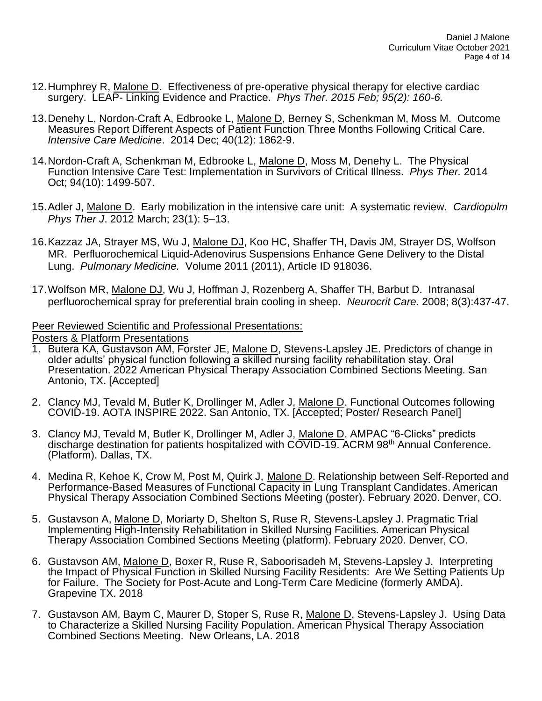- 12.Humphrey R, Malone D. Effectiveness of pre-operative physical therapy for elective cardiac surgery. LEAP- Linking Evidence and Practice. *Phys Ther. 2015 Feb; 95(2): 160-6.*
- 13.Denehy L, Nordon-Craft A, Edbrooke L, Malone D, Berney S, Schenkman M, Moss M. Outcome Measures Report Different Aspects of Patient Function Three Months Following Critical Care. *Intensive Care Medicine*. 2014 Dec; 40(12): 1862-9.
- 14.Nordon-Craft A, Schenkman M, Edbrooke L, Malone D, Moss M, Denehy L. The Physical Function Intensive Care Test: Implementation in Survivors of Critical Illness. *Phys Ther.* 2014 Oct; 94(10): 1499-507.
- 15.Adler J, Malone D. Early mobilization in the intensive care unit: A systematic review. *Cardiopulm Phys Ther J*. 2012 March; 23(1): 5–13.
- 16. Kazzaz JA, Strayer MS, Wu J, Malone DJ, Koo HC, Shaffer TH, Davis JM, Strayer DS, Wolfson MR. Perfluorochemical Liquid-Adenovirus Suspensions Enhance Gene Delivery to the Distal Lung. *Pulmonary Medicine.* Volume 2011 (2011), Article ID 918036.
- 17.Wolfson MR, Malone DJ, Wu J, Hoffman J, Rozenberg A, Shaffer TH, Barbut D. Intranasal perfluorochemical spray for preferential brain cooling in sheep. *Neurocrit Care.* 2008; 8(3):437-47.

### Peer Reviewed Scientific and Professional Presentations:

Posters & Platform Presentations

- 1. Butera KA, Gustavson AM, Forster JE, Malone D, Stevens-Lapsley JE. Predictors of change in older adults' physical function following a skilled nursing facility rehabilitation stay. Oral Presentation. 2022 American Physical Therapy Association Combined Sections Meeting. San Antonio, TX. [Accepted]
- 2. Clancy MJ, Tevald M, Butler K, Drollinger M, Adler J, Malone D. Functional Outcomes following COVID-19. AOTA INSPIRE 2022. San Antonio, TX. [Accepted; Poster/ Research Panel]
- 3. Clancy MJ, Tevald M, Butler K, Drollinger M, Adler J, Malone D. AMPAC "6-Clicks" predicts discharge destination for patients hospitalized with COVID-19. ACRM 98th Annual Conference. (Platform). Dallas, TX.
- 4. Medina R, Kehoe K, Crow M, Post M, Quirk J, Malone D. Relationship between Self-Reported and Performance-Based Measures of Functional Capacity in Lung Transplant Candidates. American Physical Therapy Association Combined Sections Meeting (poster). February 2020. Denver, CO.
- 5. Gustavson A, Malone D, Moriarty D, Shelton S, Ruse R, Stevens-Lapsley J. Pragmatic Trial Implementing High-Intensity Rehabilitation in Skilled Nursing Facilities. American Physical Therapy Association Combined Sections Meeting (platform). February 2020. Denver, CO.
- 6. Gustavson AM, Malone D, Boxer R, Ruse R, Saboorisadeh M, Stevens-Lapsley J. Interpreting the Impact of Physical Function in Skilled Nursing Facility Residents: Are We Setting Patients Up for Failure. The Society for Post-Acute and Long-Term Care Medicine (formerly AMDA). Grapevine TX. 2018
- 7. Gustavson AM, Baym C, Maurer D, Stoper S, Ruse R, Malone D, Stevens-Lapsley J. Using Data to Characterize a Skilled Nursing Facility Population. American Physical Therapy Association Combined Sections Meeting. New Orleans, LA. 2018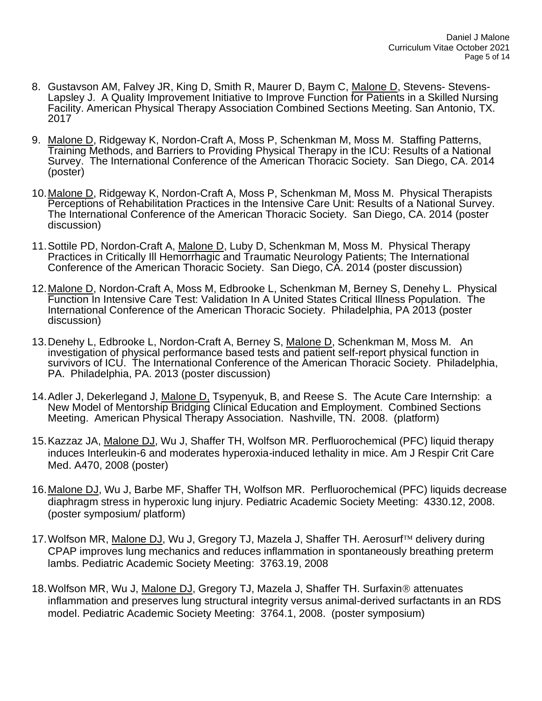- 8. Gustavson AM, Falvey JR, King D, Smith R, Maurer D, Baym C, Malone D, Stevens- Stevens-Lapsley J. A Quality Improvement Initiative to Improve Function for Patients in a Skilled Nursing Facility. American Physical Therapy Association Combined Sections Meeting. San Antonio, TX. 2017
- 9. Malone D, Ridgeway K, Nordon-Craft A, Moss P, Schenkman M, Moss M. Staffing Patterns, Training Methods, and Barriers to Providing Physical Therapy in the ICU: Results of a National Survey. The International Conference of the American Thoracic Society. San Diego, CA. 2014 (poster)
- 10.Malone D, Ridgeway K, Nordon-Craft A, Moss P, Schenkman M, Moss M. Physical Therapists Perceptions of Rehabilitation Practices in the Intensive Care Unit: Results of a National Survey. The International Conference of the American Thoracic Society. San Diego, CA. 2014 (poster discussion)
- 11.Sottile PD, Nordon-Craft A, Malone D, Luby D, Schenkman M, Moss M. Physical Therapy Practices in Critically Ill Hemorrhagic and Traumatic Neurology Patients; The International Conference of the American Thoracic Society. San Diego, CA. 2014 (poster discussion)
- 12.Malone D, Nordon-Craft A, Moss M, Edbrooke L, Schenkman M, Berney S, Denehy L. Physical Function In Intensive Care Test: Validation In A United States Critical Illness Population. The International Conference of the American Thoracic Society. Philadelphia, PA 2013 (poster discussion)
- 13. Denehy L. Edbrooke L. Nordon-Craft A, Berney S, Malone D, Schenkman M, Moss M. An investigation of physical performance based tests and patient self-report physical function in survivors of ICU. The International Conference of the American Thoracic Society. Philadelphia, PA. Philadelphia, PA. 2013 (poster discussion)
- 14. Adler J, Dekerlegand J, Malone D, Tsypenyuk, B, and Reese S. The Acute Care Internship: a New Model of Mentorship Bridging Clinical Education and Employment. Combined Sections Meeting. American Physical Therapy Association. Nashville, TN. 2008. (platform)
- 15. Kazzaz JA, Malone DJ, Wu J, Shaffer TH, Wolfson MR. Perfluorochemical (PFC) liquid therapy induces Interleukin-6 and moderates hyperoxia-induced lethality in mice. Am J Respir Crit Care Med. A470, 2008 (poster)
- 16. Malone DJ, Wu J, Barbe MF, Shaffer TH, Wolfson MR. Perfluorochemical (PFC) liquids decrease diaphragm stress in hyperoxic lung injury. Pediatric Academic Society Meeting: 4330.12, 2008. (poster symposium/ platform)
- 17. Wolfson MR, Malone DJ, Wu J, Gregory TJ, Mazela J, Shaffer TH. Aerosurf™ delivery during CPAP improves lung mechanics and reduces inflammation in spontaneously breathing preterm lambs. Pediatric Academic Society Meeting: 3763.19, 2008
- 18. Wolfson MR, Wu J, Malone DJ, Gregory TJ, Mazela J, Shaffer TH. Surfaxin<sup>®</sup> attenuates inflammation and preserves lung structural integrity versus animal-derived surfactants in an RDS model. Pediatric Academic Society Meeting: 3764.1, 2008. (poster symposium)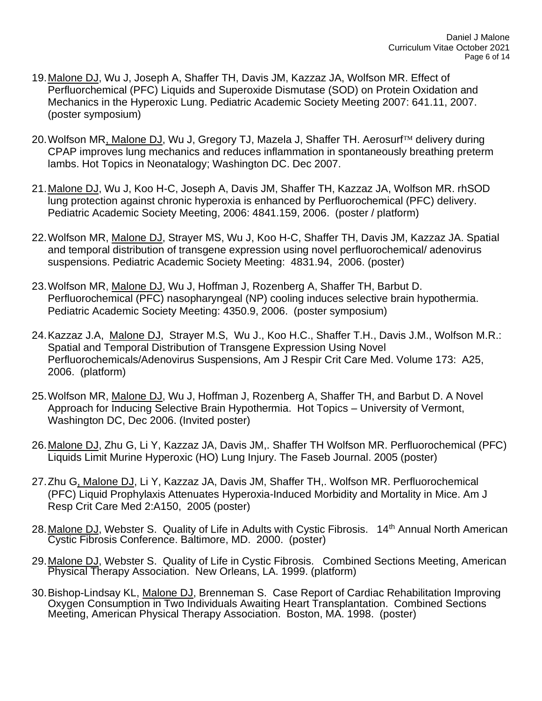- 19.Malone DJ, Wu J, Joseph A, Shaffer TH, Davis JM, Kazzaz JA, Wolfson MR. Effect of Perfluorchemical (PFC) Liquids and Superoxide Dismutase (SOD) on Protein Oxidation and Mechanics in the Hyperoxic Lung. Pediatric Academic Society Meeting 2007: 641.11, 2007. (poster symposium)
- 20. Wolfson MR, Malone DJ, Wu J, Gregory TJ, Mazela J, Shaffer TH. Aerosurf™ delivery during CPAP improves lung mechanics and reduces inflammation in spontaneously breathing preterm lambs. Hot Topics in Neonatalogy; Washington DC. Dec 2007.
- 21.Malone DJ, Wu J, Koo H-C, Joseph A, Davis JM, Shaffer TH, Kazzaz JA, Wolfson MR. rhSOD lung protection against chronic hyperoxia is enhanced by Perfluorochemical (PFC) delivery. Pediatric Academic Society Meeting, 2006: 4841.159, 2006. (poster / platform)
- 22.Wolfson MR, Malone DJ, Strayer MS, Wu J, Koo H-C, Shaffer TH, Davis JM, Kazzaz JA. Spatial and temporal distribution of transgene expression using novel perfluorochemical/ adenovirus suspensions. Pediatric Academic Society Meeting: 4831.94, 2006. (poster)
- 23.Wolfson MR, Malone DJ, Wu J, Hoffman J, Rozenberg A, Shaffer TH, Barbut D. Perfluorochemical (PFC) nasopharyngeal (NP) cooling induces selective brain hypothermia. Pediatric Academic Society Meeting: 4350.9, 2006. (poster symposium)
- 24.Kazzaz J.A, Malone DJ, Strayer M.S, Wu J., Koo H.C., Shaffer T.H., Davis J.M., Wolfson M.R.: Spatial and Temporal Distribution of Transgene Expression Using Novel Perfluorochemicals/Adenovirus Suspensions, Am J Respir Crit Care Med. Volume 173: A25, 2006. (platform)
- 25.Wolfson MR, Malone DJ, Wu J, Hoffman J, Rozenberg A, Shaffer TH, and Barbut D. A Novel Approach for Inducing Selective Brain Hypothermia. Hot Topics – University of Vermont, Washington DC, Dec 2006. (Invited poster)
- 26.Malone DJ, Zhu G, Li Y, Kazzaz JA, Davis JM,. Shaffer TH Wolfson MR. Perfluorochemical (PFC) Liquids Limit Murine Hyperoxic (HO) Lung Injury. The Faseb Journal. 2005 (poster)
- 27.Zhu G, Malone DJ, Li Y, Kazzaz JA, Davis JM, Shaffer TH,. Wolfson MR. Perfluorochemical (PFC) Liquid Prophylaxis Attenuates Hyperoxia-Induced Morbidity and Mortality in Mice. Am J Resp Crit Care Med 2:A150, 2005 (poster)
- 28. Malone DJ, Webster S. Quality of Life in Adults with Cystic Fibrosis. 14<sup>th</sup> Annual North American Cystic Fibrosis Conference. Baltimore, MD. 2000. (poster)
- 29.Malone DJ, Webster S. Quality of Life in Cystic Fibrosis. Combined Sections Meeting, American Physical Therapy Association. New Orleans, LA. 1999. (platform)
- 30. Bishop-Lindsay KL, Malone DJ, Brenneman S. Case Report of Cardiac Rehabilitation Improving Oxygen Consumption in Two Individuals Awaiting Heart Transplantation. Combined Sections Meeting, American Physical Therapy Association. Boston, MA. 1998. (poster)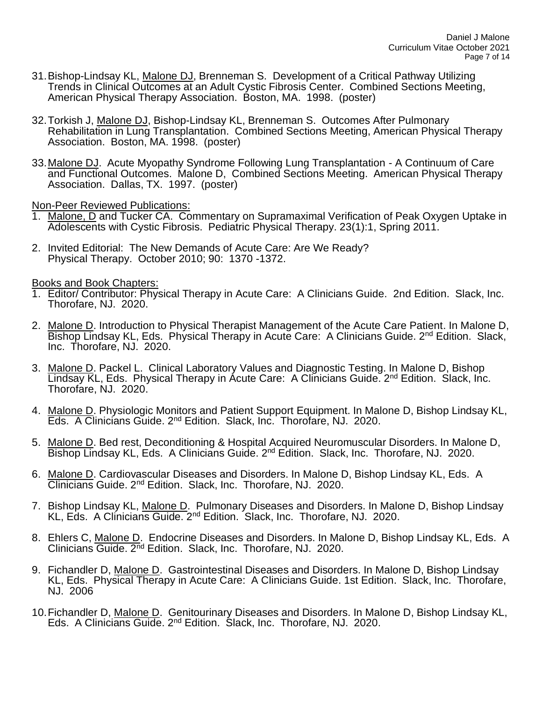- 31.Bishop-Lindsay KL, Malone DJ, Brenneman S. Development of a Critical Pathway Utilizing Trends in Clinical Outcomes at an Adult Cystic Fibrosis Center. Combined Sections Meeting, American Physical Therapy Association. Boston, MA. 1998. (poster)
- 32.Torkish J, Malone DJ, Bishop-Lindsay KL, Brenneman S. Outcomes After Pulmonary Rehabilitation in Lung Transplantation. Combined Sections Meeting, American Physical Therapy Association. Boston, MA. 1998. (poster)
- 33.Malone DJ. Acute Myopathy Syndrome Following Lung Transplantation A Continuum of Care and Functional Outcomes. Malone D, Combined Sections Meeting. American Physical Therapy Association. Dallas, TX. 1997. (poster)

Non-Peer Reviewed Publications:

- 1. Malone, D and Tucker CA. Commentary on Supramaximal Verification of Peak Oxygen Uptake in Adolescents with Cystic Fibrosis. Pediatric Physical Therapy. 23(1):1, Spring 2011.
- 2. Invited Editorial: The New Demands of Acute Care: Are We Ready? Physical Therapy. October 2010; 90: 1370 -1372.

Books and Book Chapters:

- 1. Editor/ Contributor: Physical Therapy in Acute Care: A Clinicians Guide. 2nd Edition. Slack, Inc. Thorofare, NJ. 2020.
- 2. Malone D. Introduction to Physical Therapist Management of the Acute Care Patient. In Malone D, Bishop Lindsay KL, Eds. Physical Therapy in Acute Care: A Clinicians Guide. 2<sup>nd</sup> Edition. Slack. Inc. Thorofare, NJ. 2020.
- 3. Malone D. Packel L. Clinical Laboratory Values and Diagnostic Testing. In Malone D, Bishop Lindsay KL, Eds. Physical Therapy in Acute Care: A Clinicians Guide. 2<sup>nd</sup> Edition. Slack, Inc. Thorofare, NJ. 2020.
- 4. Malone D. Physiologic Monitors and Patient Support Equipment. In Malone D. Bishop Lindsav KL. Eds. A Clinicians Guide. 2nd Edition. Slack, Inc. Thorofare, NJ. 2020.
- 5. Malone D. Bed rest, Deconditioning & Hospital Acquired Neuromuscular Disorders. In Malone D, Bishop Lindsay KL, Eds. A Clinicians Guide. 2<sup>nd</sup> Edition. Slack, Inc. Thorofare, NJ. 2020.
- 6. Malone D. Cardiovascular Diseases and Disorders. In Malone D, Bishop Lindsay KL, Eds. A Clinicians Guide. 2nd Edition. Slack, Inc. Thorofare, NJ. 2020.
- 7. Bishop Lindsay KL, Malone D. Pulmonary Diseases and Disorders. In Malone D, Bishop Lindsay KL, Eds. A Clinicians Guide. 2nd Edition. Slack, Inc. Thorofare, NJ. 2020.
- 8. Ehlers C, Malone D. Endocrine Diseases and Disorders. In Malone D, Bishop Lindsay KL, Eds. A Clinicians Guide. 2<sup>nd</sup> Edition. Slack, Inc. Thorofare, NJ. 2020.
- 9. Fichandler D, Malone D. Gastrointestinal Diseases and Disorders. In Malone D, Bishop Lindsay KL, Eds. Physical Therapy in Acute Care: A Clinicians Guide. 1st Edition. Slack, Inc. Thorofare, NJ. 2006
- 10. Fichandler D, Malone D. Genitourinary Diseases and Disorders. In Malone D, Bishop Lindsay KL, Eds. A Clinicians Guide. 2nd Edition. Slack, Inc. Thorofare, NJ. 2020.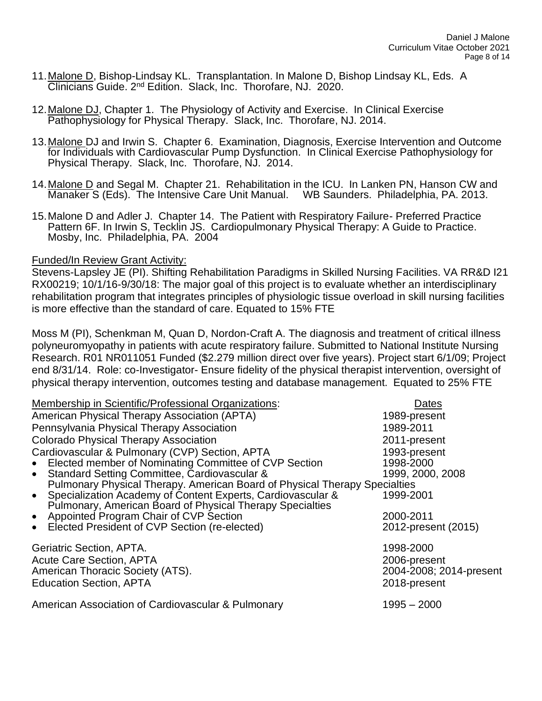- 11.Malone D, Bishop-Lindsay KL. Transplantation. In Malone D, Bishop Lindsay KL, Eds. A Clinicians Guide. 2nd Edition. Slack, Inc. Thorofare, NJ. 2020.
- 12. Malone DJ, Chapter 1. The Physiology of Activity and Exercise. In Clinical Exercise Pathophysiology for Physical Therapy. Slack, Inc. Thorofare, NJ. 2014.
- 13.Malone DJ and Irwin S. Chapter 6. Examination, Diagnosis, Exercise Intervention and Outcome for Individuals with Cardiovascular Pump Dysfunction.In Clinical Exercise Pathophysiology for Physical Therapy. Slack, Inc. Thorofare, NJ. 2014.
- 14.Malone D and Segal M. Chapter 21. Rehabilitation in the ICU. In Lanken PN, Hanson CW and Manaker S (Eds). The Intensive Care Unit Manual. WB Saunders. Philadelphia, PA. 2013.
- 15.Malone D and Adler J. Chapter 14. The Patient with Respiratory Failure- Preferred Practice Pattern 6F. In Irwin S, Tecklin JS. Cardiopulmonary Physical Therapy: A Guide to Practice. Mosby, Inc. Philadelphia, PA. 2004

## Funded/In Review Grant Activity:

Stevens-Lapsley JE (PI). Shifting Rehabilitation Paradigms in Skilled Nursing Facilities. VA RR&D I21 RX00219; 10/1/16-9/30/18: The major goal of this project is to evaluate whether an interdisciplinary rehabilitation program that integrates principles of physiologic tissue overload in skill nursing facilities is more effective than the standard of care. Equated to 15% FTE

Moss M (PI), Schenkman M, Quan D, Nordon-Craft A. The diagnosis and treatment of critical illness polyneuromyopathy in patients with acute respiratory failure. Submitted to National Institute Nursing Research. R01 NR011051 Funded (\$2.279 million direct over five years). Project start 6/1/09; Project end 8/31/14. Role: co-Investigator- Ensure fidelity of the physical therapist intervention, oversight of physical therapy intervention, outcomes testing and database management. Equated to 25% FTE

| Membership in Scientific/Professional Organizations:                       | Dates                   |  |
|----------------------------------------------------------------------------|-------------------------|--|
| American Physical Therapy Association (APTA)                               | 1989-present            |  |
| Pennsylvania Physical Therapy Association                                  | 1989-2011               |  |
| <b>Colorado Physical Therapy Association</b>                               | 2011-present            |  |
| Cardiovascular & Pulmonary (CVP) Section, APTA                             | 1993-present            |  |
| • Elected member of Nominating Committee of CVP Section                    | 1998-2000               |  |
| • Standard Setting Committee, Cardiovascular &                             | 1999, 2000, 2008        |  |
| Pulmonary Physical Therapy. American Board of Physical Therapy Specialties |                         |  |
| • Specialization Academy of Content Experts, Cardiovascular &              | 1999-2001               |  |
| Pulmonary, American Board of Physical Therapy Specialties                  |                         |  |
| Appointed Program Chair of CVP Section<br>$\bullet$                        | 2000-2011               |  |
| Elected President of CVP Section (re-elected)<br>$\bullet$                 | 2012-present (2015)     |  |
| Geriatric Section, APTA.                                                   | 1998-2000               |  |
|                                                                            |                         |  |
| <b>Acute Care Section, APTA</b>                                            | 2006-present            |  |
| American Thoracic Society (ATS).                                           | 2004-2008; 2014-present |  |
| <b>Education Section, APTA</b>                                             | 2018-present            |  |
| American Association of Cardiovascular & Pulmonary                         | $1995 - 2000$           |  |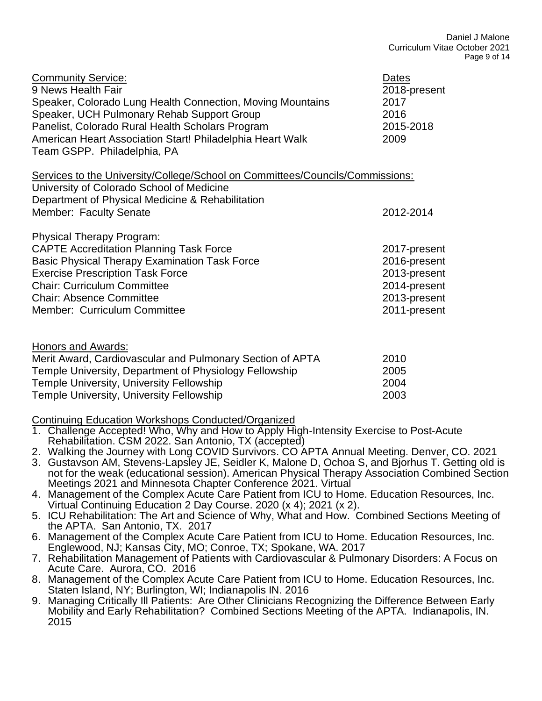| <b>Community Service:</b><br>9 News Health Fair<br>Speaker, Colorado Lung Health Connection, Moving Mountains<br>Speaker, UCH Pulmonary Rehab Support Group<br>Panelist, Colorado Rural Health Scholars Program<br>American Heart Association Start! Philadelphia Heart Walk<br>Team GSPP. Philadelphia, PA | Dates<br>2018-present<br>2017<br>2016<br>2015-2018<br>2009 |
|-------------------------------------------------------------------------------------------------------------------------------------------------------------------------------------------------------------------------------------------------------------------------------------------------------------|------------------------------------------------------------|
| Services to the University/College/School on Committees/Councils/Commissions:<br>University of Colorado School of Medicine<br>Department of Physical Medicine & Rehabilitation                                                                                                                              |                                                            |
| Member: Faculty Senate                                                                                                                                                                                                                                                                                      | 2012-2014                                                  |
| <b>Physical Therapy Program:</b>                                                                                                                                                                                                                                                                            |                                                            |
| <b>CAPTE Accreditation Planning Task Force</b>                                                                                                                                                                                                                                                              | 2017-present                                               |
| <b>Basic Physical Therapy Examination Task Force</b>                                                                                                                                                                                                                                                        | 2016-present                                               |
| <b>Exercise Prescription Task Force</b>                                                                                                                                                                                                                                                                     | 2013-present                                               |
| <b>Chair: Curriculum Committee</b>                                                                                                                                                                                                                                                                          | 2014-present                                               |
| <b>Chair: Absence Committee</b>                                                                                                                                                                                                                                                                             | 2013-present                                               |
| Member: Curriculum Committee                                                                                                                                                                                                                                                                                | 2011-present                                               |
| Honors and Awards:                                                                                                                                                                                                                                                                                          |                                                            |
| Merit Award, Cardiovascular and Pulmonary Section of APTA                                                                                                                                                                                                                                                   | 2010                                                       |
| Tomplo University Department of Physiology Followship                                                                                                                                                                                                                                                       | ה∩מ                                                        |

| Temple University, Department of Physiology Fellowship | 2005 |
|--------------------------------------------------------|------|
| Temple University, University Fellowship               | 2004 |
| Temple University, University Fellowship               | 2003 |

Continuing Education Workshops Conducted/Organized

- 1. Challenge Accepted! Who, Why and How to Apply High-Intensity Exercise to Post-Acute Rehabilitation. CSM 2022. San Antonio, TX (accepted)
- 2. Walking the Journey with Long COVID Survivors. CO APTA Annual Meeting. Denver, CO. 2021
- 3. Gustavson AM, Stevens-Lapsley JE, Seidler K, Malone D, Ochoa S, and Bjorhus T. Getting old is not for the weak (educational session). American Physical Therapy Association Combined Section Meetings 2021 and Minnesota Chapter Conference 2021. Virtual
- 4. Management of the Complex Acute Care Patient from ICU to Home. Education Resources, Inc. Virtual Continuing Education 2 Day Course. 2020 (x 4); 2021 (x 2).
- 5. ICU Rehabilitation: The Art and Science of Why, What and How. Combined Sections Meeting of the APTA. San Antonio, TX. 2017
- 6. Management of the Complex Acute Care Patient from ICU to Home. Education Resources, Inc. Englewood, NJ; Kansas City, MO; Conroe, TX; Spokane, WA. 2017
- 7. Rehabilitation Management of Patients with Cardiovascular & Pulmonary Disorders: A Focus on Acute Care. Aurora, CO. 2016
- 8. Management of the Complex Acute Care Patient from ICU to Home. Education Resources, Inc. Staten Island, NY; Burlington, WI; Indianapolis IN. 2016
- 9. Managing Critically Ill Patients: Are Other Clinicians Recognizing the Difference Between Early Mobility and Early Rehabilitation? Combined Sections Meeting of the APTA. Indianapolis, IN. 2015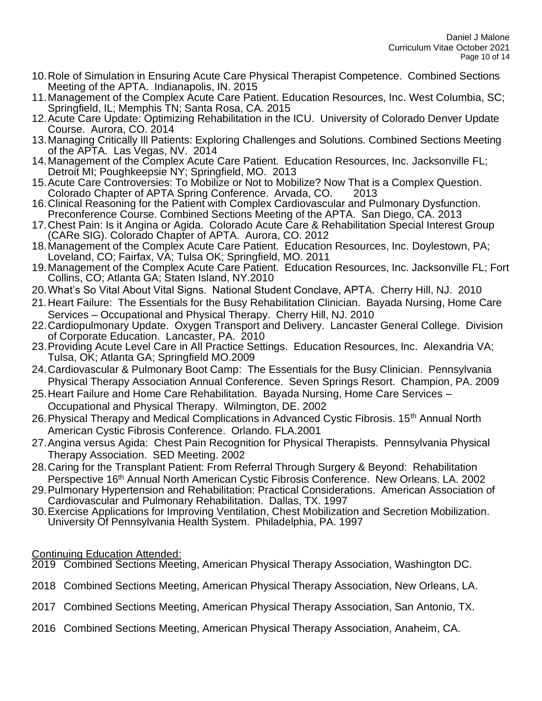- 10.Role of Simulation in Ensuring Acute Care Physical Therapist Competence. Combined Sections Meeting of the APTA. Indianapolis, IN. 2015
- 11.Management of the Complex Acute Care Patient. Education Resources, Inc. West Columbia, SC; Springfield, IL; Memphis TN; Santa Rosa, CA. 2015
- 12.Acute Care Update: Optimizing Rehabilitation in the ICU. University of Colorado Denver Update Course. Aurora, CO. 2014
- 13.Managing Critically Ill Patients: Exploring Challenges and Solutions. Combined Sections Meeting of the APTA. Las Vegas, NV. 2014
- 14.Management of the Complex Acute Care Patient. Education Resources, Inc. Jacksonville FL; Detroit MI; Poughkeepsie NY; Springfield, MO. 2013
- 15.Acute Care Controversies: To Mobilize or Not to Mobilize? Now That is a Complex Question. Colorado Chapter of APTA Spring Conference. Arvada, CO. 2013
- 16.Clinical Reasoning for the Patient with Complex Cardiovascular and Pulmonary Dysfunction. Preconference Course. Combined Sections Meeting of the APTA. San Diego, CA. 2013
- 17.Chest Pain: Is it Angina or Agida. Colorado Acute Care & Rehabilitation Special Interest Group (CARe SIG). Colorado Chapter of APTA. Aurora, CO. 2012
- 18.Management of the Complex Acute Care Patient. Education Resources, Inc. Doylestown, PA; Loveland, CO; Fairfax, VA; Tulsa OK; Springfield, MO. 2011
- 19.Management of the Complex Acute Care Patient. Education Resources, Inc. Jacksonville FL; Fort Collins, CO; Atlanta GA; Staten Island, NY.2010
- 20.What's So Vital About Vital Signs. National Student Conclave, APTA. Cherry Hill, NJ. 2010
- 21.Heart Failure: The Essentials for the Busy Rehabilitation Clinician. Bayada Nursing, Home Care Services – Occupational and Physical Therapy. Cherry Hill, NJ. 2010
- 22.Cardiopulmonary Update. Oxygen Transport and Delivery. Lancaster General College. Division of Corporate Education. Lancaster, PA. 2010
- 23.Providing Acute Level Care in All Practice Settings. Education Resources, Inc. Alexandria VA; Tulsa, OK; Atlanta GA; Springfield MO.2009
- 24.Cardiovascular & Pulmonary Boot Camp: The Essentials for the Busy Clinician. Pennsylvania Physical Therapy Association Annual Conference. Seven Springs Resort. Champion, PA. 2009
- 25.Heart Failure and Home Care Rehabilitation. Bayada Nursing, Home Care Services Occupational and Physical Therapy. Wilmington, DE. 2002
- 26. Physical Therapy and Medical Complications in Advanced Cystic Fibrosis. 15<sup>th</sup> Annual North American Cystic Fibrosis Conference. Orlando. FLA.2001
- 27.Angina versus Agida: Chest Pain Recognition for Physical Therapists. Pennsylvania Physical Therapy Association. SED Meeting. 2002
- 28.Caring for the Transplant Patient: From Referral Through Surgery & Beyond: Rehabilitation Perspective 16<sup>th</sup> Annual North American Cystic Fibrosis Conference. New Orleans. LA. 2002
- 29.Pulmonary Hypertension and Rehabilitation: Practical Considerations. American Association of Cardiovascular and Pulmonary Rehabilitation. Dallas, TX. 1997
- 30.Exercise Applications for Improving Ventilation, Chest Mobilization and Secretion Mobilization. University Of Pennsylvania Health System. Philadelphia, PA. 1997

Continuing Education Attended:

2019 Combined Sections Meeting, American Physical Therapy Association, Washington DC.

- 2018 Combined Sections Meeting, American Physical Therapy Association, New Orleans, LA.
- 2017 Combined Sections Meeting, American Physical Therapy Association, San Antonio, TX.
- 2016 Combined Sections Meeting, American Physical Therapy Association, Anaheim, CA.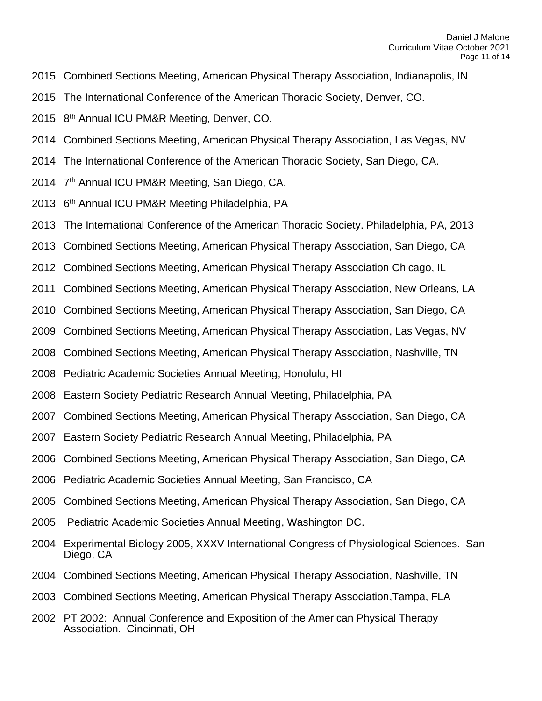- 2015 Combined Sections Meeting, American Physical Therapy Association, Indianapolis, IN
- 2015 The International Conference of the American Thoracic Society, Denver, CO.
- 2015 8<sup>th</sup> Annual ICU PM&R Meeting, Denver, CO.
- 2014 Combined Sections Meeting, American Physical Therapy Association, Las Vegas, NV
- 2014 The International Conference of the American Thoracic Society, San Diego, CA.
- 2014 7<sup>th</sup> Annual ICU PM&R Meeting, San Diego, CA.
- 2013 6<sup>th</sup> Annual ICU PM&R Meeting Philadelphia, PA
- 2013 The International Conference of the American Thoracic Society. Philadelphia, PA, 2013
- 2013 Combined Sections Meeting, American Physical Therapy Association, San Diego, CA
- 2012 Combined Sections Meeting, American Physical Therapy Association Chicago, IL
- 2011 Combined Sections Meeting, American Physical Therapy Association, New Orleans, LA
- 2010 Combined Sections Meeting, American Physical Therapy Association, San Diego, CA
- 2009 Combined Sections Meeting, American Physical Therapy Association, Las Vegas, NV
- 2008 Combined Sections Meeting, American Physical Therapy Association, Nashville, TN
- 2008 Pediatric Academic Societies Annual Meeting, Honolulu, HI
- 2008 Eastern Society Pediatric Research Annual Meeting, Philadelphia, PA
- 2007 Combined Sections Meeting, American Physical Therapy Association, San Diego, CA
- 2007 Eastern Society Pediatric Research Annual Meeting, Philadelphia, PA
- 2006 Combined Sections Meeting, American Physical Therapy Association, San Diego, CA
- 2006 Pediatric Academic Societies Annual Meeting, San Francisco, CA
- 2005 Combined Sections Meeting, American Physical Therapy Association, San Diego, CA
- 2005 Pediatric Academic Societies Annual Meeting, Washington DC.
- 2004 Experimental Biology 2005, XXXV International Congress of Physiological Sciences. San Diego, CA
- 2004 Combined Sections Meeting, American Physical Therapy Association, Nashville, TN
- 2003 Combined Sections Meeting, American Physical Therapy Association,Tampa, FLA
- 2002 PT 2002: Annual Conference and Exposition of the American Physical Therapy Association. Cincinnati, OH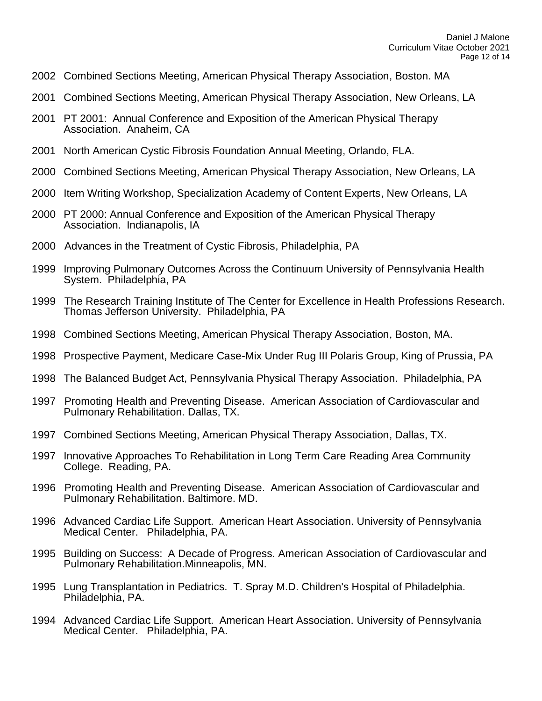- 2002 Combined Sections Meeting, American Physical Therapy Association, Boston. MA
- 2001 Combined Sections Meeting, American Physical Therapy Association, New Orleans, LA
- 2001 PT 2001: Annual Conference and Exposition of the American Physical Therapy Association. Anaheim, CA
- 2001 North American Cystic Fibrosis Foundation Annual Meeting, Orlando, FLA.
- 2000 Combined Sections Meeting, American Physical Therapy Association, New Orleans, LA
- 2000 Item Writing Workshop, Specialization Academy of Content Experts, New Orleans, LA
- 2000 PT 2000: Annual Conference and Exposition of the American Physical Therapy Association. Indianapolis, IA
- 2000 Advances in the Treatment of Cystic Fibrosis, Philadelphia, PA
- 1999 Improving Pulmonary Outcomes Across the Continuum University of Pennsylvania Health System. Philadelphia, PA
- 1999 The Research Training Institute of The Center for Excellence in Health Professions Research. Thomas Jefferson University. Philadelphia, PA
- 1998 Combined Sections Meeting, American Physical Therapy Association, Boston, MA.
- 1998 Prospective Payment, Medicare Case-Mix Under Rug III Polaris Group, King of Prussia, PA
- 1998 The Balanced Budget Act, Pennsylvania Physical Therapy Association. Philadelphia, PA
- 1997 Promoting Health and Preventing Disease. American Association of Cardiovascular and Pulmonary Rehabilitation. Dallas, TX.
- 1997 Combined Sections Meeting, American Physical Therapy Association, Dallas, TX.
- 1997 Innovative Approaches To Rehabilitation in Long Term Care Reading Area Community College. Reading, PA.
- 1996 Promoting Health and Preventing Disease. American Association of Cardiovascular and Pulmonary Rehabilitation. Baltimore. MD.
- 1996 Advanced Cardiac Life Support. American Heart Association. University of Pennsylvania Medical Center. Philadelphia, PA.
- 1995 Building on Success: A Decade of Progress. American Association of Cardiovascular and Pulmonary Rehabilitation.Minneapolis, MN.
- 1995 Lung Transplantation in Pediatrics. T. Spray M.D. Children's Hospital of Philadelphia. Philadelphia, PA.
- 1994 Advanced Cardiac Life Support. American Heart Association. University of Pennsylvania Medical Center. Philadelphia, PA.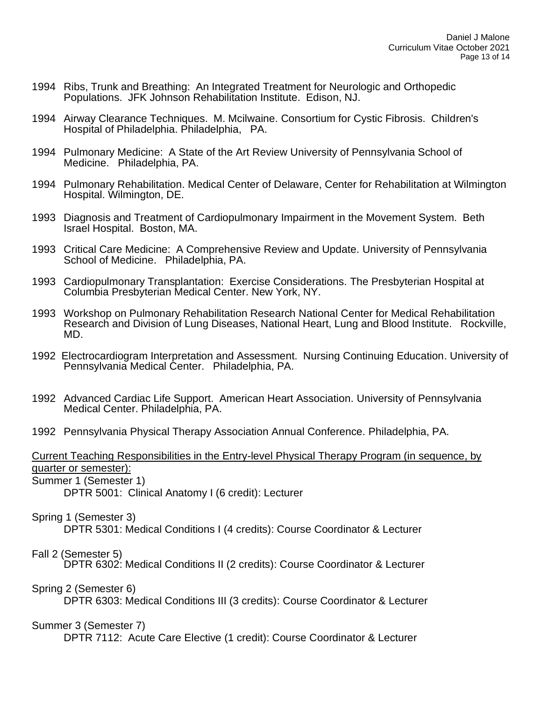- 1994 Ribs, Trunk and Breathing: An Integrated Treatment for Neurologic and Orthopedic Populations. JFK Johnson Rehabilitation Institute. Edison, NJ.
- 1994 Airway Clearance Techniques. M. Mcilwaine. Consortium for Cystic Fibrosis. Children's Hospital of Philadelphia. Philadelphia, PA.
- 1994 Pulmonary Medicine: A State of the Art Review University of Pennsylvania School of Medicine. Philadelphia, PA.
- 1994 Pulmonary Rehabilitation. Medical Center of Delaware, Center for Rehabilitation at Wilmington Hospital. Wilmington, DE.
- 1993 Diagnosis and Treatment of Cardiopulmonary Impairment in the Movement System. Beth Israel Hospital. Boston, MA.
- 1993 Critical Care Medicine: A Comprehensive Review and Update. University of Pennsylvania School of Medicine. Philadelphia, PA.
- 1993 Cardiopulmonary Transplantation: Exercise Considerations. The Presbyterian Hospital at Columbia Presbyterian Medical Center. New York, NY.
- 1993 Workshop on Pulmonary Rehabilitation Research National Center for Medical Rehabilitation Research and Division of Lung Diseases, National Heart, Lung and Blood Institute. Rockville, MD.
- 1992 Electrocardiogram Interpretation and Assessment. Nursing Continuing Education. University of Pennsylvania Medical Center. Philadelphia, PA.
- 1992 Advanced Cardiac Life Support. American Heart Association. University of Pennsylvania Medical Center. Philadelphia, PA.
- 1992 Pennsylvania Physical Therapy Association Annual Conference. Philadelphia, PA.

# Current Teaching Responsibilities in the Entry-level Physical Therapy Program (in sequence, by quarter or semester):

Summer 1 (Semester 1)

DPTR 5001: Clinical Anatomy I (6 credit): Lecturer

### Spring 1 (Semester 3)

DPTR 5301: Medical Conditions I (4 credits): Course Coordinator & Lecturer

## Fall 2 (Semester 5)

DPTR 6302: Medical Conditions II (2 credits): Course Coordinator & Lecturer

### Spring 2 (Semester 6)

DPTR 6303: Medical Conditions III (3 credits): Course Coordinator & Lecturer

## Summer 3 (Semester 7)

DPTR 7112: Acute Care Elective (1 credit): Course Coordinator & Lecturer